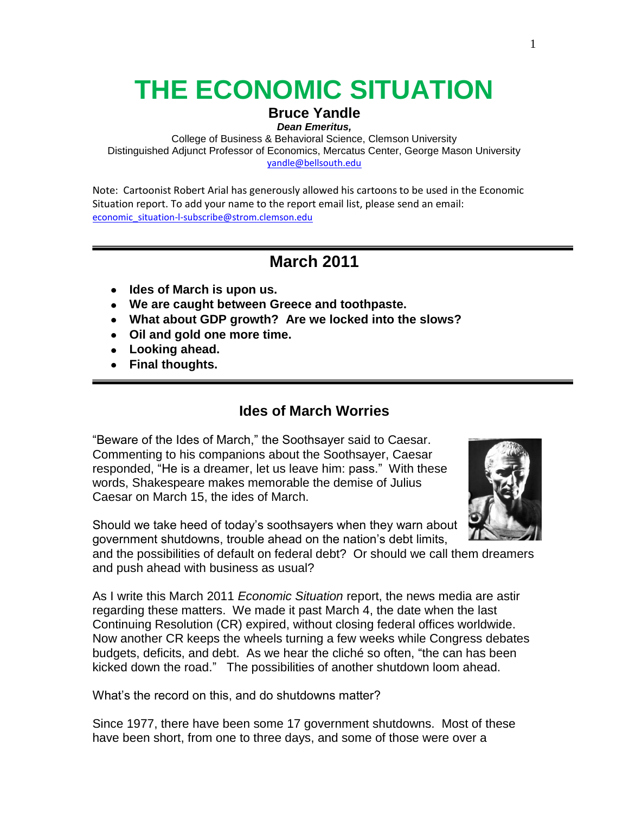# **THE ECONOMIC SITUATION**

### **Bruce Yandle**

*Dean Emeritus,* 

College of Business & Behavioral Science, Clemson University Distinguished Adjunct Professor of Economics, Mercatus Center, George Mason University [yandle@bellsouth.edu](mailto:yandle@bellsouth.edu)

Note: Cartoonist Robert Arial has generously allowed his cartoons to be used in the Economic Situation report. To add your name to the report email list, please send an email: [economic\\_situation-l-subscribe@strom.clemson.edu](mailto:economic_situation-l-subscribe@strom.clemson.edu)

## **March 2011**

- **Ides of March is upon us.**
- **We are caught between Greece and toothpaste.**
- **What about GDP growth? Are we locked into the slows?**
- **Oil and gold one more time.**
- **Looking ahead.**
- **Final thoughts.**

## **Ides of March Worries**

"Beware of the Ides of March," the Soothsayer said to Caesar. Commenting to his companions about the Soothsayer, Caesar responded, "He is a dreamer, let us leave him: pass." With these words, Shakespeare makes memorable the demise of Julius Caesar on March 15, the ides of March.



Should we take heed of today's soothsayers when they warn about government shutdowns, trouble ahead on the nation's debt limits,

and the possibilities of default on federal debt? Or should we call them dreamers and push ahead with business as usual?

As I write this March 2011 *Economic Situation* report, the news media are astir regarding these matters. We made it past March 4, the date when the last Continuing Resolution (CR) expired, without closing federal offices worldwide. Now another CR keeps the wheels turning a few weeks while Congress debates budgets, deficits, and debt. As we hear the cliché so often, "the can has been kicked down the road.‖ The possibilities of another shutdown loom ahead.

What's the record on this, and do shutdowns matter?

Since 1977, there have been some 17 government shutdowns. Most of these have been short, from one to three days, and some of those were over a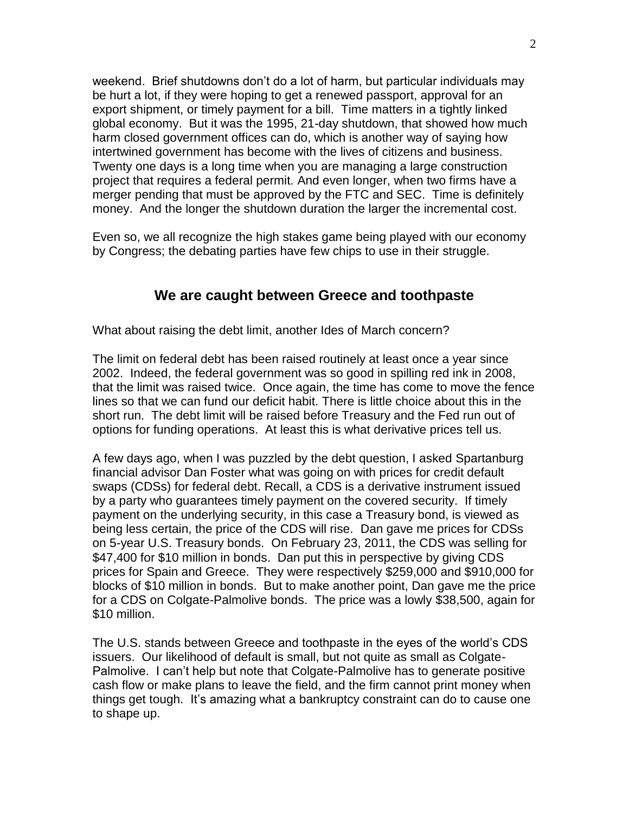weekend. Brief shutdowns don't do a lot of harm, but particular individuals may be hurt a lot, if they were hoping to get a renewed passport, approval for an export shipment, or timely payment for a bill. Time matters in a tightly linked global economy. But it was the 1995, 21-day shutdown, that showed how much harm closed government offices can do, which is another way of saying how intertwined government has become with the lives of citizens and business. Twenty one days is a long time when you are managing a large construction project that requires a federal permit. And even longer, when two firms have a merger pending that must be approved by the FTC and SEC. Time is definitely money. And the longer the shutdown duration the larger the incremental cost.

Even so, we all recognize the high stakes game being played with our economy by Congress; the debating parties have few chips to use in their struggle.

## **We are caught between Greece and toothpaste**

What about raising the debt limit, another Ides of March concern?

The limit on federal debt has been raised routinely at least once a year since 2002. Indeed, the federal government was so good in spilling red ink in 2008, that the limit was raised twice. Once again, the time has come to move the fence lines so that we can fund our deficit habit. There is little choice about this in the short run. The debt limit will be raised before Treasury and the Fed run out of options for funding operations. At least this is what derivative prices tell us.

A few days ago, when I was puzzled by the debt question, I asked Spartanburg financial advisor Dan Foster what was going on with prices for credit default swaps (CDSs) for federal debt. Recall, a CDS is a derivative instrument issued by a party who guarantees timely payment on the covered security. If timely payment on the underlying security, in this case a Treasury bond, is viewed as being less certain, the price of the CDS will rise. Dan gave me prices for CDSs on 5-year U.S. Treasury bonds. On February 23, 2011, the CDS was selling for \$47,400 for \$10 million in bonds. Dan put this in perspective by giving CDS prices for Spain and Greece. They were respectively \$259,000 and \$910,000 for blocks of \$10 million in bonds. But to make another point, Dan gave me the price for a CDS on Colgate-Palmolive bonds. The price was a lowly \$38,500, again for \$10 million.

The U.S. stands between Greece and toothpaste in the eyes of the world's CDS issuers. Our likelihood of default is small, but not quite as small as Colgate-Palmolive. I can't help but note that Colgate-Palmolive has to generate positive cash flow or make plans to leave the field, and the firm cannot print money when things get tough. It's amazing what a bankruptcy constraint can do to cause one to shape up.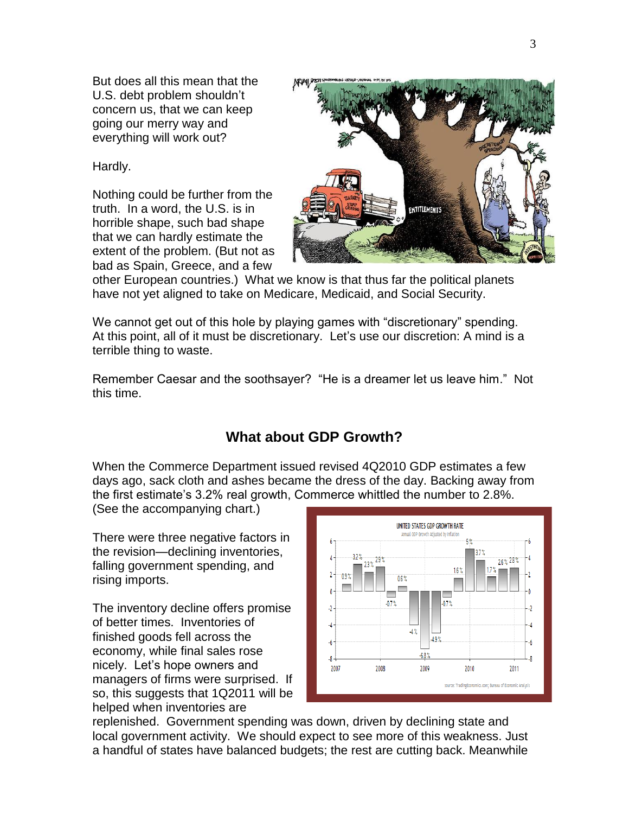But does all this mean that the U.S. debt problem shouldn't concern us, that we can keep going our merry way and everything will work out?

Hardly.

Nothing could be further from the truth. In a word, the U.S. is in horrible shape, such bad shape that we can hardly estimate the extent of the problem. (But not as bad as Spain, Greece, and a few



other European countries.) What we know is that thus far the political planets have not yet aligned to take on Medicare, Medicaid, and Social Security.

We cannot get out of this hole by playing games with "discretionary" spending. At this point, all of it must be discretionary. Let's use our discretion: A mind is a terrible thing to waste.

Remember Caesar and the soothsayer? "He is a dreamer let us leave him." Not this time.

## **What about GDP Growth?**

When the Commerce Department issued revised 4Q2010 GDP estimates a few days ago, sack cloth and ashes became the dress of the day. Backing away from the first estimate's 3.2% real growth, Commerce whittled the number to 2.8%.

(See the accompanying chart.)

There were three negative factors in the revision—declining inventories, falling government spending, and rising imports.

The inventory decline offers promise of better times. Inventories of finished goods fell across the economy, while final sales rose nicely. Let's hope owners and managers of firms were surprised. If so, this suggests that 1Q2011 will be helped when inventories are



replenished. Government spending was down, driven by declining state and local government activity. We should expect to see more of this weakness. Just a handful of states have balanced budgets; the rest are cutting back. Meanwhile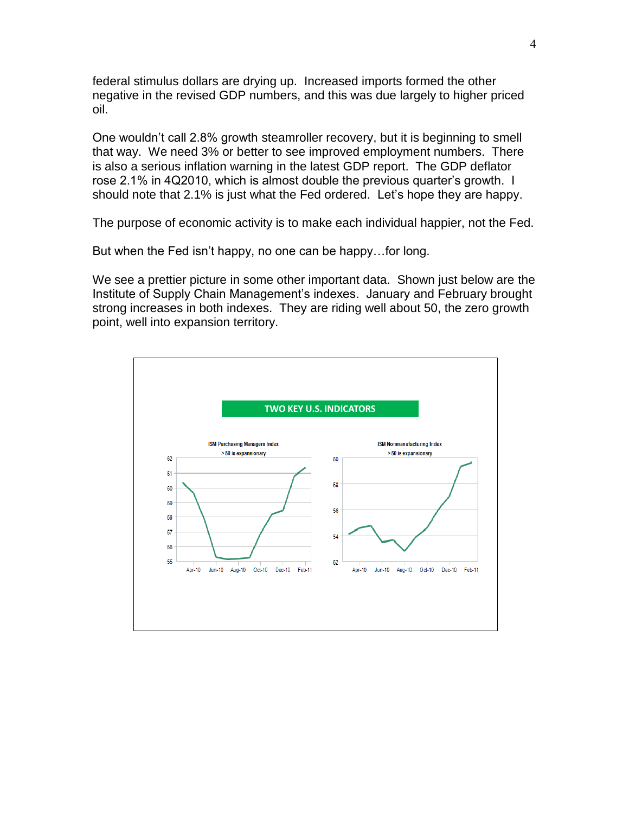federal stimulus dollars are drying up. Increased imports formed the other negative in the revised GDP numbers, and this was due largely to higher priced oil.

One wouldn't call 2.8% growth steamroller recovery, but it is beginning to smell that way. We need 3% or better to see improved employment numbers. There is also a serious inflation warning in the latest GDP report. The GDP deflator rose 2.1% in 4Q2010, which is almost double the previous quarter's growth. I should note that 2.1% is just what the Fed ordered. Let's hope they are happy.

The purpose of economic activity is to make each individual happier, not the Fed.

But when the Fed isn't happy, no one can be happy…for long.

We see a prettier picture in some other important data. Shown just below are the Institute of Supply Chain Management's indexes. January and February brought strong increases in both indexes. They are riding well about 50, the zero growth point, well into expansion territory.

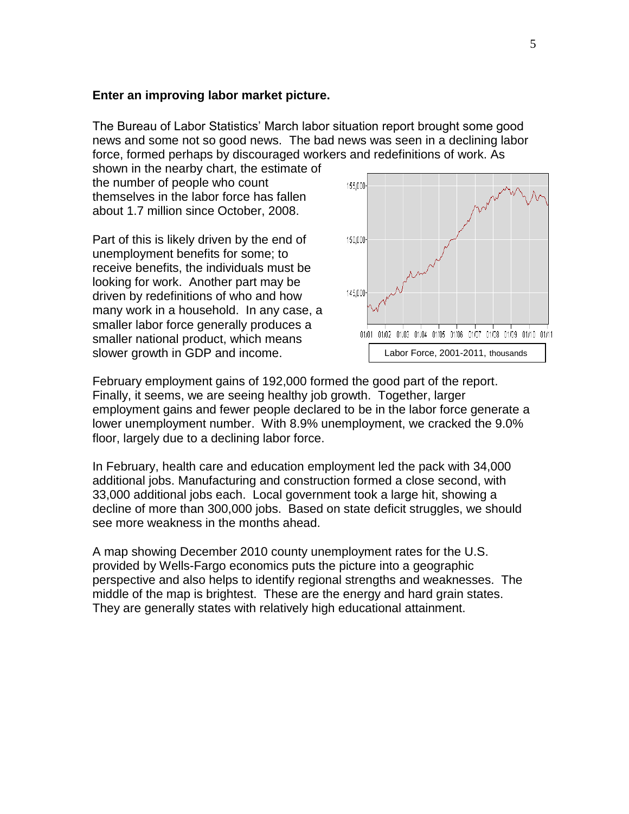#### **Enter an improving labor market picture.**

The Bureau of Labor Statistics' March labor situation report brought some good news and some not so good news. The bad news was seen in a declining labor force, formed perhaps by discouraged workers and redefinitions of work. As

shown in the nearby chart, the estimate of the number of people who count themselves in the labor force has fallen about 1.7 million since October, 2008.

Part of this is likely driven by the end of unemployment benefits for some; to receive benefits, the individuals must be looking for work. Another part may be driven by redefinitions of who and how many work in a household. In any case, a smaller labor force generally produces a smaller national product, which means slower growth in GDP and income.



February employment gains of 192,000 formed the good part of the report. Finally, it seems, we are seeing healthy job growth. Together, larger employment gains and fewer people declared to be in the labor force generate a lower unemployment number. With 8.9% unemployment, we cracked the 9.0% floor, largely due to a declining labor force.

In February, health care and education employment led the pack with 34,000 additional jobs. Manufacturing and construction formed a close second, with 33,000 additional jobs each. Local government took a large hit, showing a decline of more than 300,000 jobs. Based on state deficit struggles, we should see more weakness in the months ahead.

A map showing December 2010 county unemployment rates for the U.S. provided by Wells-Fargo economics puts the picture into a geographic perspective and also helps to identify regional strengths and weaknesses. The middle of the map is brightest. These are the energy and hard grain states. They are generally states with relatively high educational attainment.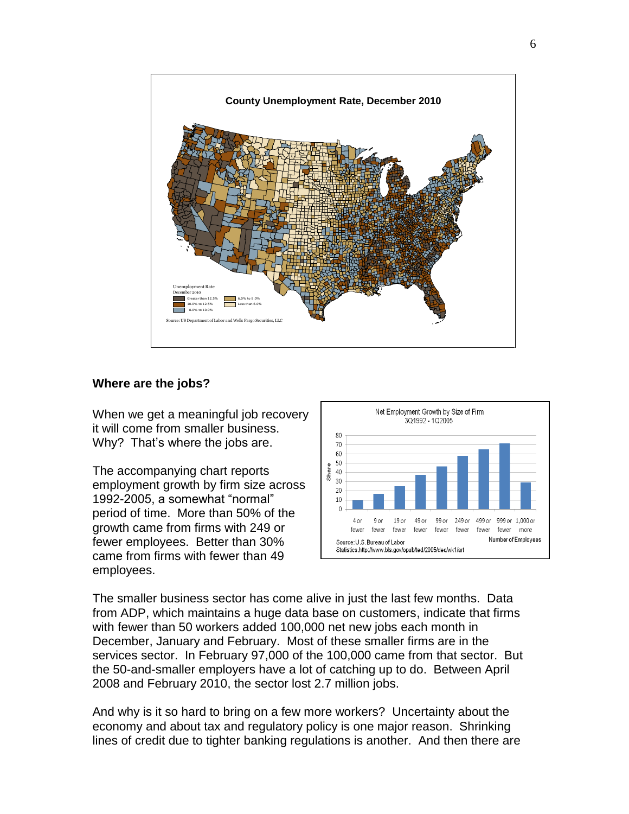

#### **Where are the jobs?**

When we get a meaningful job recovery it will come from smaller business. Why? That's where the jobs are.

The accompanying chart reports employment growth by firm size across 1992-2005, a somewhat "normal" period of time. More than 50% of the growth came from firms with 249 or fewer employees. Better than 30% came from firms with fewer than 49 employees.



The smaller business sector has come alive in just the last few months. Data from ADP, which maintains a huge data base on customers, indicate that firms with fewer than 50 workers added 100,000 net new jobs each month in December, January and February. Most of these smaller firms are in the services sector. In February 97,000 of the 100,000 came from that sector. But the 50-and-smaller employers have a lot of catching up to do. Between April 2008 and February 2010, the sector lost 2.7 million jobs.

And why is it so hard to bring on a few more workers? Uncertainty about the economy and about tax and regulatory policy is one major reason. Shrinking lines of credit due to tighter banking regulations is another. And then there are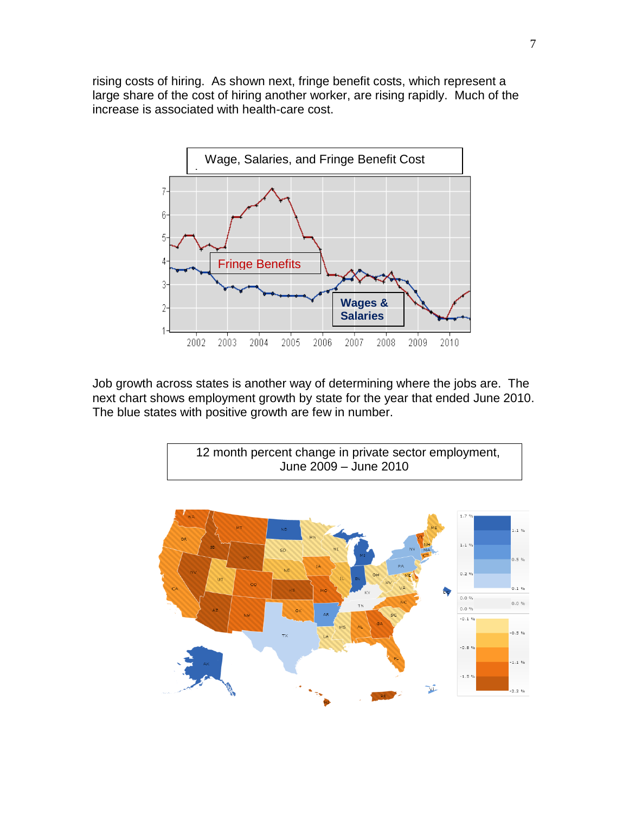rising costs of hiring. As shown next, fringe benefit costs, which represent a large share of the cost of hiring another worker, are rising rapidly. Much of the increase is associated with health-care cost.



Job growth across states is another way of determining where the jobs are. The next chart shows employment growth by state for the year that ended June 2010. The blue states with positive growth are few in number.



12 month percent change in private sector employment,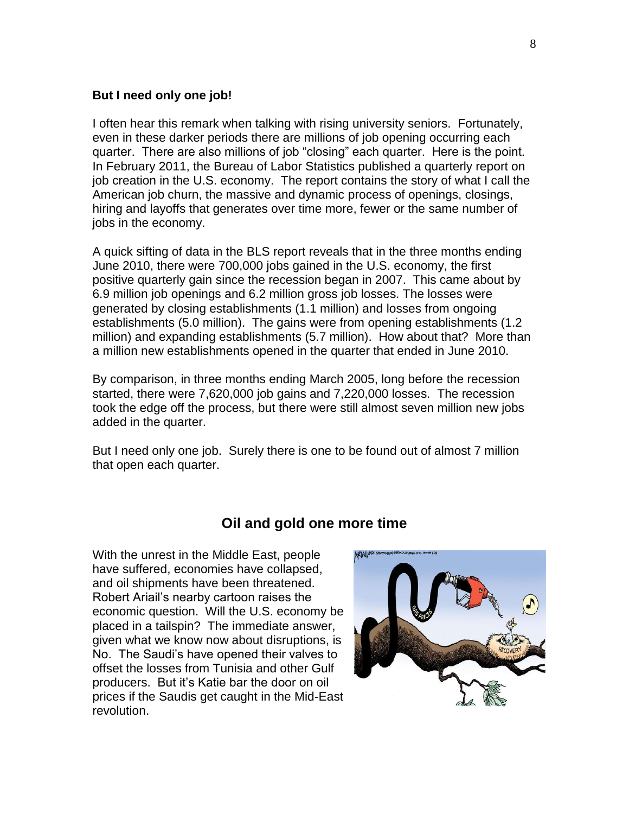#### **But I need only one job!**

I often hear this remark when talking with rising university seniors. Fortunately, even in these darker periods there are millions of job opening occurring each quarter. There are also millions of job "closing" each quarter. Here is the point. In February 2011, the Bureau of Labor Statistics published a quarterly report on job creation in the U.S. economy. The report contains the story of what I call the American job churn, the massive and dynamic process of openings, closings, hiring and layoffs that generates over time more, fewer or the same number of jobs in the economy.

A quick sifting of data in the BLS report reveals that in the three months ending June 2010, there were 700,000 jobs gained in the U.S. economy, the first positive quarterly gain since the recession began in 2007. This came about by 6.9 million job openings and 6.2 million gross job losses. The losses were generated by closing establishments (1.1 million) and losses from ongoing establishments (5.0 million). The gains were from opening establishments (1.2 million) and expanding establishments (5.7 million). How about that? More than a million new establishments opened in the quarter that ended in June 2010.

By comparison, in three months ending March 2005, long before the recession started, there were 7,620,000 job gains and 7,220,000 losses. The recession took the edge off the process, but there were still almost seven million new jobs added in the quarter.

But I need only one job. Surely there is one to be found out of almost 7 million that open each quarter.

#### **Oil and gold one more time**

With the unrest in the Middle East, people have suffered, economies have collapsed, and oil shipments have been threatened. Robert Ariail's nearby cartoon raises the economic question. Will the U.S. economy be placed in a tailspin? The immediate answer, given what we know now about disruptions, is No. The Saudi's have opened their valves to offset the losses from Tunisia and other Gulf producers. But it's Katie bar the door on oil prices if the Saudis get caught in the Mid-East revolution.

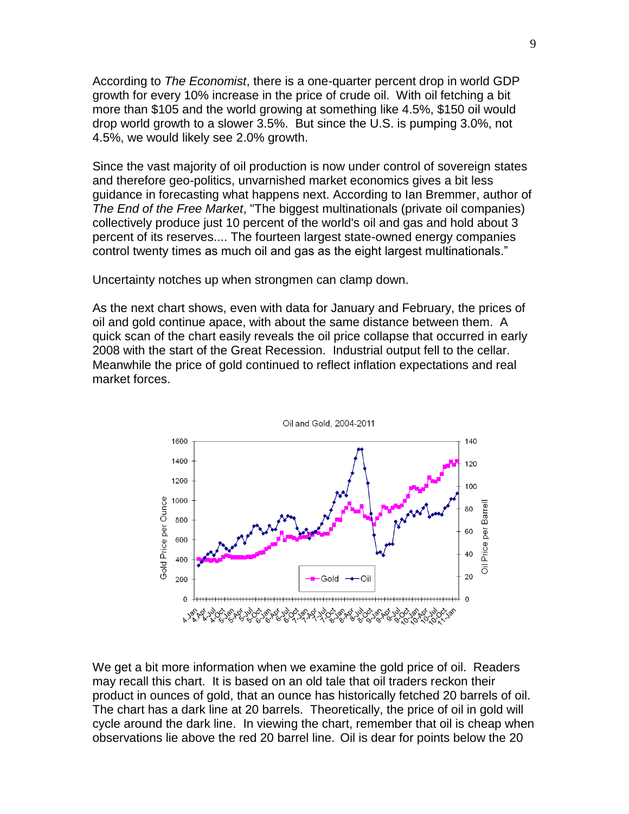According to *The Economist*, there is a one-quarter percent drop in world GDP growth for every 10% increase in the price of crude oil. With oil fetching a bit more than \$105 and the world growing at something like 4.5%, \$150 oil would drop world growth to a slower 3.5%. But since the U.S. is pumping 3.0%, not 4.5%, we would likely see 2.0% growth.

Since the vast majority of oil production is now under control of sovereign states and therefore geo-politics, unvarnished market economics gives a bit less guidance in forecasting what happens next. According to Ian Bremmer, author of *The End of the Free Market*, "The biggest multinationals (private oil companies) collectively produce just 10 percent of the world's oil and gas and hold about 3 percent of its reserves.... The fourteen largest state-owned energy companies control twenty times as much oil and gas as the eight largest multinationals."

Uncertainty notches up when strongmen can clamp down.

As the next chart shows, even with data for January and February, the prices of oil and gold continue apace, with about the same distance between them. A quick scan of the chart easily reveals the oil price collapse that occurred in early 2008 with the start of the Great Recession. Industrial output fell to the cellar. Meanwhile the price of gold continued to reflect inflation expectations and real market forces.



We get a bit more information when we examine the gold price of oil. Readers may recall this chart. It is based on an old tale that oil traders reckon their product in ounces of gold, that an ounce has historically fetched 20 barrels of oil. The chart has a dark line at 20 barrels. Theoretically, the price of oil in gold will cycle around the dark line. In viewing the chart, remember that oil is cheap when observations lie above the red 20 barrel line. Oil is dear for points below the 20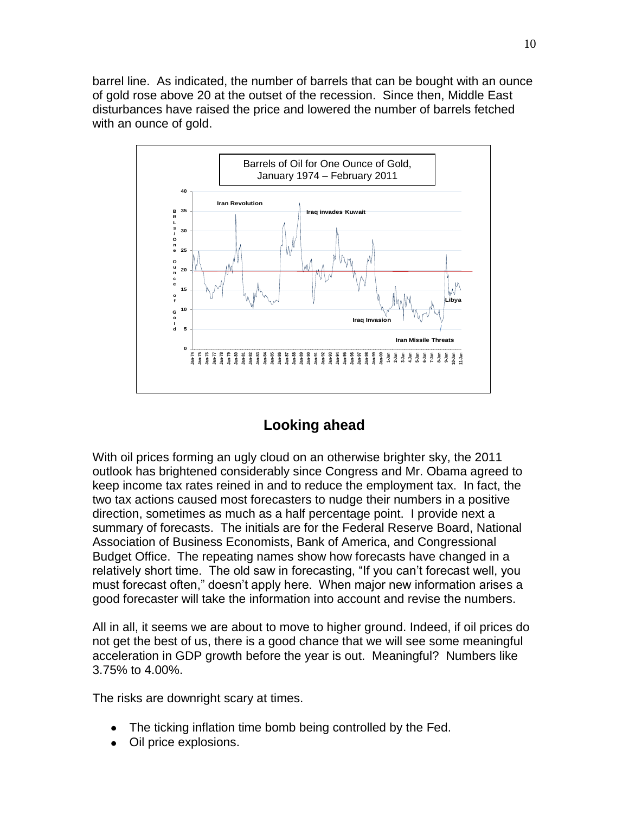barrel line. As indicated, the number of barrels that can be bought with an ounce of gold rose above 20 at the outset of the recession. Since then, Middle East disturbances have raised the price and lowered the number of barrels fetched with an ounce of gold.



## **Looking ahead**

With oil prices forming an ugly cloud on an otherwise brighter sky, the 2011 outlook has brightened considerably since Congress and Mr. Obama agreed to keep income tax rates reined in and to reduce the employment tax. In fact, the two tax actions caused most forecasters to nudge their numbers in a positive direction, sometimes as much as a half percentage point. I provide next a summary of forecasts. The initials are for the Federal Reserve Board, National Association of Business Economists, Bank of America, and Congressional Budget Office. The repeating names show how forecasts have changed in a relatively short time. The old saw in forecasting, "If you can't forecast well, you must forecast often," doesn't apply here. When major new information arises a good forecaster will take the information into account and revise the numbers.

All in all, it seems we are about to move to higher ground. Indeed, if oil prices do not get the best of us, there is a good chance that we will see some meaningful acceleration in GDP growth before the year is out. Meaningful? Numbers like 3.75% to 4.00%.

The risks are downright scary at times.

- The ticking inflation time bomb being controlled by the Fed.
- Oil price explosions.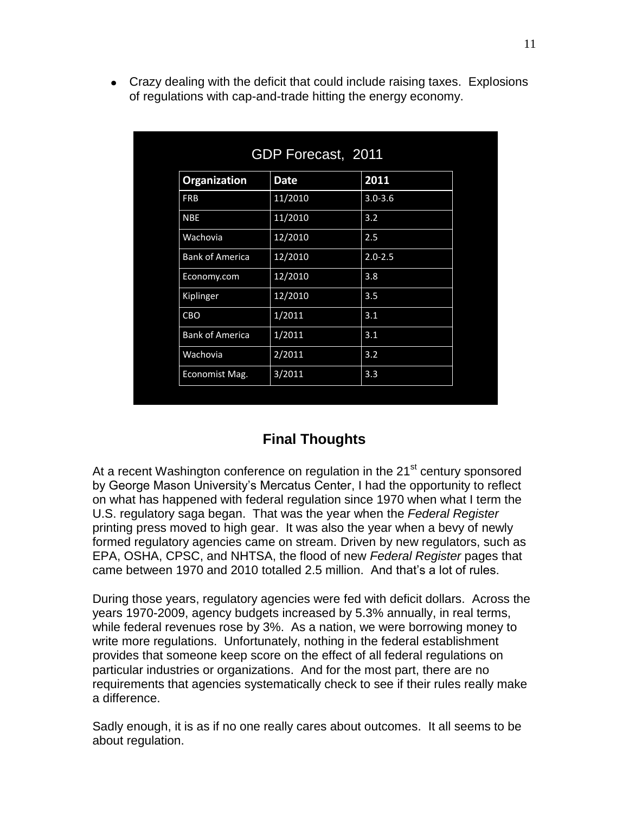Crazy dealing with the deficit that could include raising taxes. Explosions of regulations with cap-and-trade hitting the energy economy.

| GDP Forecast, 2011     |             |             |
|------------------------|-------------|-------------|
| Organization           | <b>Date</b> | 2011        |
| <b>FRB</b>             | 11/2010     | $3.0 - 3.6$ |
| <b>NBE</b>             | 11/2010     | 3.2         |
| Wachovia               | 12/2010     | 2.5         |
| <b>Bank of America</b> | 12/2010     | $2.0 - 2.5$ |
| Economy.com            | 12/2010     | 3.8         |
| Kiplinger              | 12/2010     | 3.5         |
| CBO                    | 1/2011      | 3.1         |
| <b>Bank of America</b> | 1/2011      | 3.1         |
| Wachovia               | 2/2011      | 3.2         |
| Economist Mag.         | 3/2011      | 3.3         |

## **Final Thoughts**

At a recent Washington conference on regulation in the 21<sup>st</sup> century sponsored by George Mason University's Mercatus Center, I had the opportunity to reflect on what has happened with federal regulation since 1970 when what I term the U.S. regulatory saga began. That was the year when the *Federal Register* printing press moved to high gear. It was also the year when a bevy of newly formed regulatory agencies came on stream. Driven by new regulators, such as EPA, OSHA, CPSC, and NHTSA, the flood of new *Federal Register* pages that came between 1970 and 2010 totalled 2.5 million. And that's a lot of rules.

During those years, regulatory agencies were fed with deficit dollars. Across the years 1970-2009, agency budgets increased by 5.3% annually, in real terms, while federal revenues rose by 3%. As a nation, we were borrowing money to write more regulations. Unfortunately, nothing in the federal establishment provides that someone keep score on the effect of all federal regulations on particular industries or organizations. And for the most part, there are no requirements that agencies systematically check to see if their rules really make a difference.

Sadly enough, it is as if no one really cares about outcomes. It all seems to be about regulation.